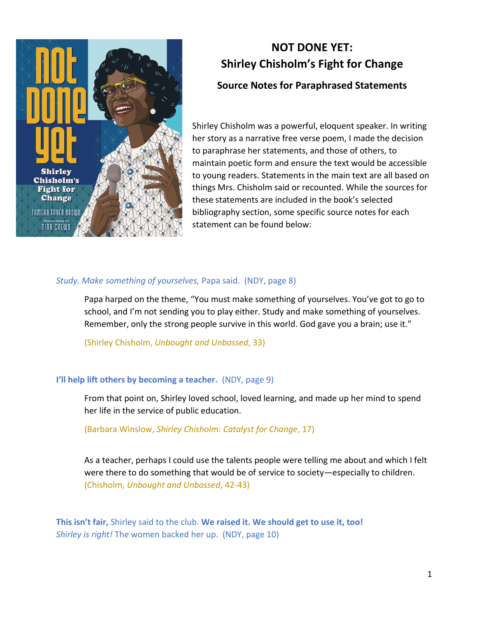

# **NOT DONE YET: Shirley Chisholm's Fight for Change Source Notes for Paraphrased Statements**

Shirley Chisholm was a powerful, eloquent speaker. In writing her story as a narrative free verse poem, I made the decision to paraphrase her statements, and those of others, to maintain poetic form and ensure the text would be accessible to young readers. Statements in the main text are all based on things Mrs. Chisholm said or recounted. While the sources for these statements are included in the book's selected bibliography section, some specific source notes for each statement can be found below:

#### *Study. Make something of yourselves,* Papa said. (NDY, page 8)

Papa harped on the theme, "You must make something of yourselves. You've got to go to school, and I'm not sending you to play either. Study and make something of yourselves. Remember, only the strong people survive in this world. God gave you a brain; use it."

(Shirley Chisholm, *Unbought and Unbossed*, 33)

## **I'll help lift others by becoming a teacher.** (NDY, page 9)

From that point on, Shirley loved school, loved learning, and made up her mind to spend her life in the service of public education.

(Barbara Winslow, *Shirley Chisholm: Catalyst for Change*, 17)

As a teacher, perhaps I could use the talents people were telling me about and which I felt were there to do something that would be of service to society—especially to children. (Chisholm, *Unbought and Unbossed*, 42-43)

**This isn't fair,** Shirley said to the club. **We raised it. We should get to use it, too!** *Shirley is right!* The women backed her up. (NDY, page 10)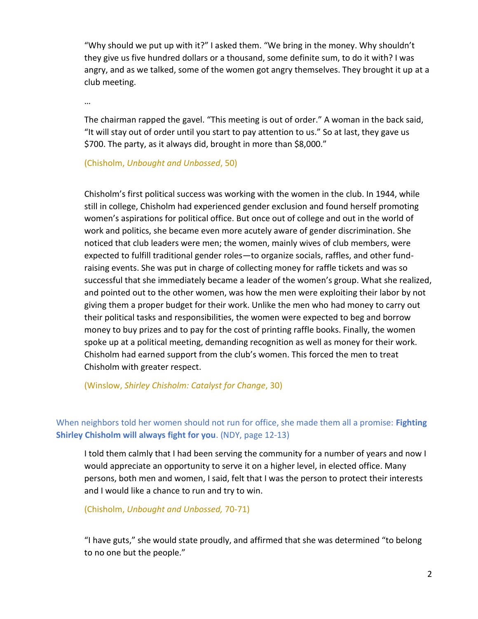"Why should we put up with it?" I asked them. "We bring in the money. Why shouldn't they give us five hundred dollars or a thousand, some definite sum, to do it with? I was angry, and as we talked, some of the women got angry themselves. They brought it up at a club meeting.

…

The chairman rapped the gavel. "This meeting is out of order." A woman in the back said, "It will stay out of order until you start to pay attention to us." So at last, they gave us \$700. The party, as it always did, brought in more than \$8,000."

## (Chisholm, *Unbought and Unbossed*, 50)

Chisholm's first political success was working with the women in the club. In 1944, while still in college, Chisholm had experienced gender exclusion and found herself promoting women's aspirations for political office. But once out of college and out in the world of work and politics, she became even more acutely aware of gender discrimination. She noticed that club leaders were men; the women, mainly wives of club members, were expected to fulfill traditional gender roles—to organize socials, raffles, and other fundraising events. She was put in charge of collecting money for raffle tickets and was so successful that she immediately became a leader of the women's group. What she realized, and pointed out to the other women, was how the men were exploiting their labor by not giving them a proper budget for their work. Unlike the men who had money to carry out their political tasks and responsibilities, the women were expected to beg and borrow money to buy prizes and to pay for the cost of printing raffle books. Finally, the women spoke up at a political meeting, demanding recognition as well as money for their work. Chisholm had earned support from the club's women. This forced the men to treat Chisholm with greater respect.

(Winslow, *Shirley Chisholm: Catalyst for Change*, 30)

## When neighbors told her women should not run for office, she made them all a promise: **Fighting Shirley Chisholm will always fight for you**. (NDY, page 12-13)

I told them calmly that I had been serving the community for a number of years and now I would appreciate an opportunity to serve it on a higher level, in elected office. Many persons, both men and women, I said, felt that I was the person to protect their interests and I would like a chance to run and try to win.

(Chisholm, *Unbought and Unbossed,* 70-71)

"I have guts," she would state proudly, and affirmed that she was determined "to belong to no one but the people."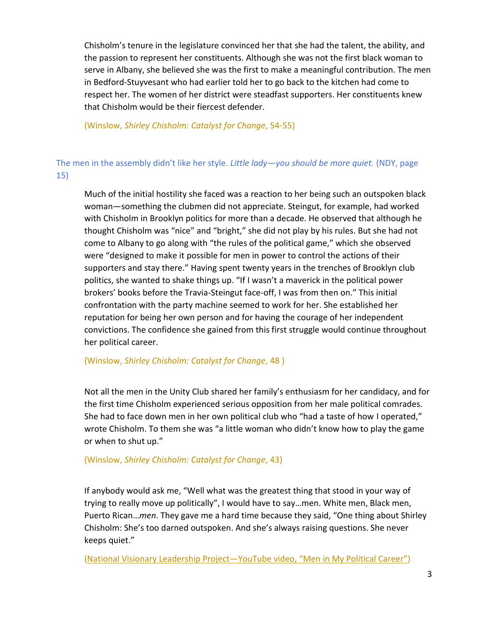Chisholm's tenure in the legislature convinced her that she had the talent, the ability, and the passion to represent her constituents. Although she was not the first black woman to serve in Albany, she believed she was the first to make a meaningful contribution. The men in Bedford-Stuyvesant who had earlier told her to go back to the kitchen had come to respect her. The women of her district were steadfast supporters. Her constituents knew that Chisholm would be their fiercest defender.

(Winslow, *Shirley Chisholm: Catalyst for Change*, 54-55)

# The men in the assembly didn't like her style. *Little lady—you should be more quiet.* (NDY, page 15)

Much of the initial hostility she faced was a reaction to her being such an outspoken black woman—something the clubmen did not appreciate. Steingut, for example, had worked with Chisholm in Brooklyn politics for more than a decade. He observed that although he thought Chisholm was "nice" and "bright," she did not play by his rules. But she had not come to Albany to go along with "the rules of the political game," which she observed were "designed to make it possible for men in power to control the actions of their supporters and stay there." Having spent twenty years in the trenches of Brooklyn club politics, she wanted to shake things up. "If I wasn't a maverick in the political power brokers' books before the Travia-Steingut face-off, I was from then on." This initial confrontation with the party machine seemed to work for her. She established her reputation for being her own person and for having the courage of her independent convictions. The confidence she gained from this first struggle would continue throughout her political career.

## (Winslow, *Shirley Chisholm: Catalyst for Change*, 48 )

Not all the men in the Unity Club shared her family's enthusiasm for her candidacy, and for the first time Chisholm experienced serious opposition from her male political comrades. She had to face down men in her own political club who "had a taste of how I operated," wrote Chisholm. To them she was "a little woman who didn't know how to play the game or when to shut up."

## (Winslow, *Shirley Chisholm: Catalyst for Change*, 43)

If anybody would ask me, "Well what was the greatest thing that stood in your way of trying to really move up politically", I would have to say…men. White men, Black men, Puerto Rican…*men*. They gave me a hard time because they said, "One thing about Shirley Chisholm: She's too darned outspoken. And she's always raising questions. She never keeps quiet."

(National Visionary Leadership Project—YouTube video, "[Men in My Political Career](https://youtu.be/Hubaho0vX2U)")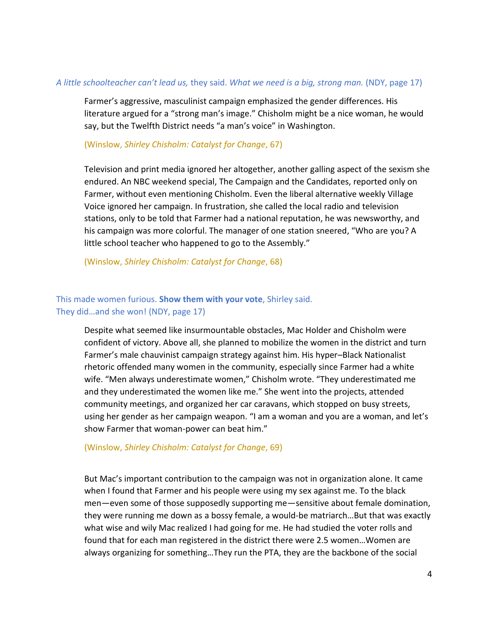#### *A little schoolteacher can't lead us,* they said. *What we need is a big, strong man.* (NDY, page 17)

Farmer's aggressive, masculinist campaign emphasized the gender differences. His literature argued for a "strong man's image." Chisholm might be a nice woman, he would say, but the Twelfth District needs "a man's voice" in Washington.

#### (Winslow, *Shirley Chisholm: Catalyst for Change*, 67)

Television and print media ignored her altogether, another galling aspect of the sexism she endured. An NBC weekend special, The Campaign and the Candidates, reported only on Farmer, without even mentioning Chisholm. Even the liberal alternative weekly Village Voice ignored her campaign. In frustration, she called the local radio and television stations, only to be told that Farmer had a national reputation, he was newsworthy, and his campaign was more colorful. The manager of one station sneered, "Who are you? A little school teacher who happened to go to the Assembly."

(Winslow, *Shirley Chisholm: Catalyst for Change*, 68)

# This made women furious. **Show them with your vote**, Shirley said. They did…and she won! (NDY, page 17)

Despite what seemed like insurmountable obstacles, Mac Holder and Chisholm were confident of victory. Above all, she planned to mobilize the women in the district and turn Farmer's male chauvinist campaign strategy against him. His hyper–Black Nationalist rhetoric offended many women in the community, especially since Farmer had a white wife. "Men always underestimate women," Chisholm wrote. "They underestimated me and they underestimated the women like me." She went into the projects, attended community meetings, and organized her car caravans, which stopped on busy streets, using her gender as her campaign weapon. "I am a woman and you are a woman, and let's show Farmer that woman-power can beat him."

#### (Winslow, *Shirley Chisholm: Catalyst for Change*, 69)

But Mac's important contribution to the campaign was not in organization alone. It came when I found that Farmer and his people were using my sex against me. To the black men—even some of those supposedly supporting me—sensitive about female domination, they were running me down as a bossy female, a would-be matriarch…But that was exactly what wise and wily Mac realized I had going for me. He had studied the voter rolls and found that for each man registered in the district there were 2.5 women…Women are always organizing for something…They run the PTA, they are the backbone of the social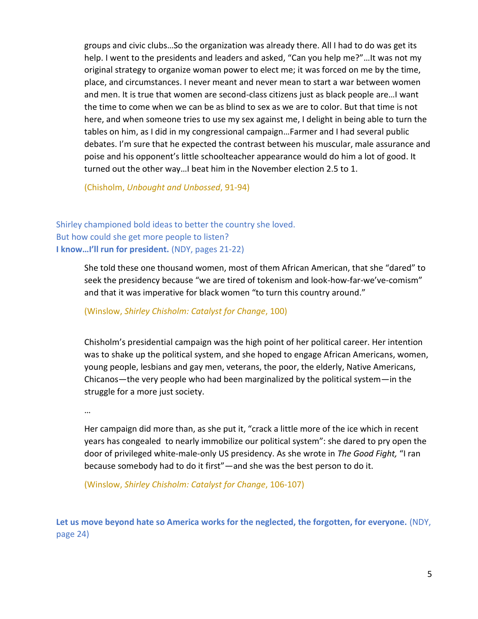groups and civic clubs…So the organization was already there. All I had to do was get its help. I went to the presidents and leaders and asked, "Can you help me?"…It was not my original strategy to organize woman power to elect me; it was forced on me by the time, place, and circumstances. I never meant and never mean to start a war between women and men. It is true that women are second-class citizens just as black people are…I want the time to come when we can be as blind to sex as we are to color. But that time is not here, and when someone tries to use my sex against me, I delight in being able to turn the tables on him, as I did in my congressional campaign…Farmer and I had several public debates. I'm sure that he expected the contrast between his muscular, male assurance and poise and his opponent's little schoolteacher appearance would do him a lot of good. It turned out the other way…I beat him in the November election 2.5 to 1.

(Chisholm, *Unbought and Unbossed*, 91-94)

Shirley championed bold ideas to better the country she loved. But how could she get more people to listen? **I know…I'll run for president.** (NDY, pages 21-22)

> She told these one thousand women, most of them African American, that she "dared" to seek the presidency because "we are tired of tokenism and look-how-far-we've-comism" and that it was imperative for black women "to turn this country around."

(Winslow, *Shirley Chisholm: Catalyst for Change*, 100)

Chisholm's presidential campaign was the high point of her political career. Her intention was to shake up the political system, and she hoped to engage African Americans, women, young people, lesbians and gay men, veterans, the poor, the elderly, Native Americans, Chicanos—the very people who had been marginalized by the political system—in the struggle for a more just society.

…

Her campaign did more than, as she put it, "crack a little more of the ice which in recent years has congealed to nearly immobilize our political system": she dared to pry open the door of privileged white-male-only US presidency. As she wrote in *The Good Fight,* "I ran because somebody had to do it first"—and she was the best person to do it.

(Winslow, *Shirley Chisholm: Catalyst for Change*, 106-107)

**Let us move beyond hate so America works for the neglected, the forgotten, for everyone.** (NDY, page 24)